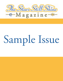

# Sample Issue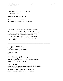\_\_\_\_\_\_\_\_\_\_\_\_\_\_\_\_\_\_\_\_\_\_\_\_\_\_\_\_\_\_\_\_\_\_\_\_\_\_\_\_\_\_\_\_\_\_\_\_\_\_\_\_\_\_\_\_\_\_\_\_\_\_\_\_\_\_

\_\_\_\_\_\_\_\_\_\_\_\_\_\_\_\_\_\_\_\_\_\_\_\_\_\_\_\_\_\_\_\_\_\_\_\_\_\_\_\_\_\_\_\_\_\_\_\_\_\_\_\_\_\_\_\_\_\_\_\_\_\_\_\_\_\_

\_\_\_\_\_\_\_\_\_\_\_\_\_\_\_\_\_\_\_\_\_\_\_\_\_\_\_\_\_\_\_\_\_\_\_\_\_\_\_\_\_\_\_\_\_\_\_\_\_\_\_\_\_\_\_\_\_\_\_\_\_\_

# THE STARS STILL SHINE M A G A Z I N E

News and Writings from the Afterlife

Vol. 2 Issue 6 June 2004 http://www.TheStarsStillShine.com/zine.html

The Stars Still Shine Magazine, a new monthly e-mail publication, is a direct link from the afterlife. It is an outlet for talented writers and other "people" in spirit. They share messages, conversations, stories and journeys filled with descriptions of adventure and travel. These writers and others from the afterlife channel through Robert Murray.

The Stars Still Shine Magazine Everything in this magazine is true unless stated otherwise. This issue is sent to you in two e-mails.

ISSN: 1543-0022

Publisher: Robert Murray Production Manager/Editor: James Murray Upstairs Editor (in Heaven): Carolyn Bessette Kennedy Continuity Editor: Diane Murray

Aura Publishing Mail: P.O. Box 602, Derby Line, Vermont 05830-0602 USA E-mail: aura@TheStarsStillShine.com For other methods of contacting us, please visit: http://www.TheStarsStillShine.com/contact.html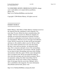To SUBSCRIBE, RENEW, ORDER BACK ISSUES, change your e-mail address or to report delivery problems, please visit: http://www.TheStarsStillShine.com/zine.html

Copyright © 2004 Robert Murray. All rights reserved.

### ============== ROBERT MURRAY

===============

Robert Murray (AKA Bob or Father Murray) channels (receives) the material from the contributors in this magazine. For more than 30 years, Robert has been communicating with "people" who have crossed over. Before he channels, he mentally sets up psychic protection for himself. He then sits down in a quiet place in his home where he won't have any interruptions. When he receives messages from Michael, Lynne, David or anyone else, he takes up his pen and paper, and tunes in. He could be called a receiver. He has to find the correct station and there has to be some fine tuning. He hears voices and sees pictures. An interaction takes place. He is conscious and quite aware of his surroundings while he writes. During his conversations with the "people," he sees them in their surroundings and senses their feelings and emotions while they speak. All this comes through him and is recorded by him. He has developed the ability to slow down the messages and write them accurately. This is not automatic writing, but rather transcribing what he actually hears. He has also written a book containing a diary of messages from his son-in-law, Michael, who is also a contributor to the magazine. For more information about Robert and his book, please visit:

http://www.TheStarsStillShine.com/psychic.html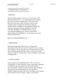## ============================== CONTRIBUTORS TO THIS ISSUE

==============================

# \* MICHAEL

Michael (Mike), Robert's son-in-law, crossed over in 1997. On Earth, Michael was a very unselfish person. He idolized Elvis and was an Elvis impersonator. He loved to sing. He loved to tell funny stories and jokes, and his sense of humor shines through in his messages to this side. Besides what he contributes to this magazine, Michael has sent other messages which are published in the book "The Stars Still Shine: An Afterlife Journey" and at www.TheStarsStillShine.com. To have a much better understanding of who Michael is, we encourage you to read the book and Web site:

## http://www.TheStarsStillShine.com

# \* JOHN RITTER

John died in September 2003. He was a talented actor and producer. He acted in several TV series, TV movies, feature films and plays. He was also the voice of Clifford in the animated series "Clifford the Big Red Dog." He was best known for his lead roles in the TV comedy series "Three's Company" and recently "8 Simple Rules."

# \* LYNNE & DAVID

Lynne and David are husband and wife. They crossed over on September 11, 2001. On Earth, Lynne worked and volunteered as a librarian. She also had been involved with children and young adults, and kept in touch with them. She considered the many kids she worked with as her sons, daughters, children, friends and family. David was an Emmy award winning writer for the TV series "Frasier," "Wings" and "Cheers."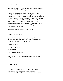He, David Lee and Peter Casey formed Grub Street Production, producer of "Frasier" and "Wings."

Michael has become good friends with Lynne and David. Aside from what the three contribute, they have sent messages to Robert about a group of people who crossed over on September 11, 2001. The group includes Lynne and David. Lynne, spelled with an 'e', is not to be mistaken with Michael's wife (living) who is named Lynn, but spelled without the 'e'. To have a better understanding of who Lynne and David are and what they have done in the afterlife, we recommend that you read the messages about the 9-11s group at:

http://www.TheStarsStillShine.com/9-11s\_1.html

# \* JOHN F. KENNEDY, JR.

John is the Special Correspondent for the magazine. He crossed over in 1999. His father is John F. Kennedy, 35th President of the United States of America.

## \* MARK TWAIN

Mark died in 1910. His stories are new and are from the Other Side.

## \* ERNEST HEMINGWAY

Ernest died in July 1961. His stories are new and are from the Other Side.

IN THIS ISSUE . . .

====================================

================================

1. CONVERSATIONS -- JOHN RITTER (Installment 1) is the first installment in a series of Robert Murray's conversations with John Ritter. In the series, John shares his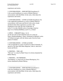experiences and stories.

2. CONVERSATIONS -- JOHN RITTER (Installment 2) is the second installment in a series of Robert Murray's conversations with John Ritter. In the series, John shares his experiences and stories.

3. CONVERSATIONS -- LYNNE & DAVID (Installment 18) is the eighteenth installment in a series of Robert Murray's conversations with Lynne and David. In the series, Lynne and David share their experiences or stories. This installment occurs after the time of Message 16 in the 9-11s in the Afterlife series of messages found at: http://www.TheStarsStillShine.com/9-11s\_16.html

# 4. EPICS -- UMBARTT (Epics 1 & 2)

are the first and second Umbarttan epics in a series by Nancy (Drakensdaughter). Nancy, mentioned in Michael's series of Umbartt messages, tells the famous epics from her home planet of Umbartt.

## 5. CONVERSATIONS -- LYNNE & DAVID

is the seventeenth in a series of articles by John F. Kennedy, Jr., special to The Stars Still Shine Magazine. John Jr. interviews Lynne and David.

6. WRITING -- THE LAW "The Law" is a story by Mark Twain. It is fiction channeled by Robert Murray.

7. WRITING -- ON THINKING "On thinking" is a short story by Ernest Hemingway. It is fiction channeled by Robert Murray.

-------------------------------------------------------------

1. CONVERSATIONS -- JOHN RITTER (Installment 1) is the first installment in a series of Robert Murray's conversations with John Ritter. In the series, John shares his experiences and stories.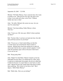-------------------------------------------------------------

September 20, 2003 7:23 P.M.

Michael: "Hi Father Murray. I have someone here who wants to speak to you. John arrived a few days ago and is now living, if you could call it that, in the Town. Without further ado, here is John."

John: "Ah, hello. Michael, this seems too easy. Are you sure I'm connecting?"

Michael: "Just keep talking. Father Murray is there. Trust me."

John: "I trust you. O.K. here goes. Hello! Is there anybody out there?"

Bob: "I'm here John. I can hear you loud and clear. Just talk and you'll hear answers in your head."

John: "If you say so. I don't mind telling you that this is weird! You're not weird but the whole scenario is unusual. Michael had a hard time getting me to open up and accept what he does as quote, normal, unquote. I won't make the quotation signs in the air because I don't know if you can see me."

Bob: "Keep going John."

John: "Right! I'm John Ritter. Maybe I should say the late John Ritter because there is no doubt that I'm, ahem, dead. I could never understand why people who die are called late. Could it be because we expect them to come back at a later time? Maybe because late sounds better than dead or better than moldering. How about we lost him or her? But I digress. Hello Father Murray!"

Bob: "Hello John. How are you feeling?"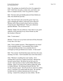John: "Ah, perhaps you should tell me how I'm supposed to feel? I don't have any pain, a runny nose, sore knees, sore back or cramped muscles. I feel very good for a corpse."

Bob: "You have left your Earthly physical body behind you John. You should feel just fine."

John: "Too bad I had to die to feel this good. I feel very good. Changing the subject; I died and went to Heaven? Michael calls it Heaven and he hasn't lied to me before. It must be true! Right Michael? That's not a rhetorical question Michael. You can answer me!"

Michael: "Right. You are in Heaven. I have that on very good authority. Forty thousand of my closest friends say that this location is Heaven."

John: "I want names."

Michael: "Come over to my house and meet all forty thousand. It may take a few days."

John: "I have another question. What happened to my brain? I can't remember names. I can remember faces, bodies, events and all that just like it was yesterday but it is as though my brain got flushed out of names. Is that usual?"

Bob: "Very normal. You'll find that names don't have the same meaning over there. You'll remember faces more than names."

John: "Michael is mouthing the word 'senility.' If it's catching then I must have caught it from him! Michael has become a great friend. He doesn't let me feel sorry for myself. I first met him in what I call the White Ward at the hospital. There I was lying in bed, naked I might add, when in walked Michael. He introduced himself like this: 'Hi! I'm the welcome wagon. Get off your fat ass and move soldier, move!' I said that I was naked under the sheet. He said that he didn't ask for a fashion statement just for me to get moving. I asked if he could get me some clothes. He left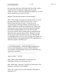the ward and came back with clothes that fit me like a glove. I told him that I would prefer clothes that fit me like clothes not a glove. Seriously, Michael has helped me so much that he should get some type of reward."

Michael: "Having John around is reward enough!"

John: "This, I think was meant to be Q and A time so I could get some information. Before this turns into a roast, I think I'd better get back on track. If you are ever in communication with Henry Winkler, tell him that he was 'right on.' Maybe I can tell him myself one day. Henry and I used to have some serious discussions about the afterlife and I think it helped prepare me for my trip over here. If you get a chance, tell my family and my extended family that I love them and miss them terribly. Michael is giving me the sign to wrap it up and let you get on with your life. I would appreciate some time with you again and I thank you from the bottom of my damaged heart for this opportunity to talk back to Earth. God bless you."

-------------------------------------------------------------

2. CONVERSATIONS -- JOHN RITTER (Installment 2) is the second installment in a series of Robert Murray's conversations with John Ritter. In the series, John shares his experiences and stories.

-------------------------------------------------------------

April 15, 2004 7:34 P.M.

John: "Hello! This is John Ritter or what used to be John Ritter. I heard you call, so here I am."

Bob: "Hello John. Someone, a person who subscribes to our magazine, asked how you are doing?"

John: "Oh. I wasn't aware of your magazine. What type of magazine is it?"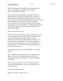Bob: "The magazine is an outlet for writers and others on your side. We publish a monthly E-mail magazine, 'The Stars Still Shine Magazine'."

John: "Carolyn Bessett Kennedy told me that she was the upstairs editor of a magazine. I didn't get the connection. I guess I haven't been paying attention to the things around me. And to answer your question about how I'm doing, I'm told that I'm doing as well as expected. I know that doesn't answer the question but I don't really know how I'm doing. According to my new found friends, I'm making good progress. I guess that might put a cap on the question but I know it doesn't really satisfy."

Bob: "Good answer anyway."

John: "Have you found a way to contact my family? I suspect it's rather difficult to get through to them. Let them know, if you do get through, that I still love them. I have inklings about what they are doing but haven't found a way to get through to them directly. I'm so proud of them and the way they came through after I 'crossed.' I think that's the correct word to use when you bite the bullet or whatever the current phrase is now."

Bob: "Whatever words you feel comfortable with are good enough."

John: "Thank you for putting me at ease. Although I don't show it, I'm nervous. I'm afraid I might say the wrong things and get canceled or whatever is done to people who are like me."

Bob: "Don't be afraid John. You're with friends, friends who have your best interests at heart. You aren't going to be sent anywhere."

John: "Whew. That's a relief."

Bob: "Do you have a place to stay?"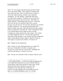June 2004 **Page 10 of 33** 

John: "Yes. I'm staying with John Candy and Chris Farley out on one of the islands. They started me working with teens on the first day. They even allowed me to sleep in one of the cabins with logs, termites, mice and giant mosquitoes. It's O.K. though. I shared the cabin with two other male counselors. Somehow I survived the first night and got up at the crack of my back. That bunk was lumpy and hard. We had bunk beds of course. I chose the lower one first but was told that I didn't have a choice because I was the new kid. Do you know that there are cobwebs in cabins in Heaven? I was up close and personal with a bunch of spiders and webs. Big John told me that they couldn't kill me no matter how hard they bit. Then I remembered where I was and that didn't seem to help my peace of mind. I changed my routine and became a day camper. Now I sleep in a shared apartment in town. I travel to the camp in the early hours of the morning. I was satisfied with the arrangement until I visited Michael and his chateau. Maybe if I play my cards right, I can get me one of those. I'll work on it."

Bob: "Thanks for the information."

John: "I know it's more information than you wanted. I'll let you go. I hope that I can talk to you again soon. Just give me a yell when you want to talk. And thanks for your time and interest. It means a lot to me."

Bob: "You are very welcome. I'll be in contact with you soon."

-------------------------------------------------------------

3. CONVERSATIONS -- LYNNE & DAVID (Installment 18) is the eighteenth installment in a series of Robert Murray's conversations with Lynne and David. In the series, Lynne and David share their experiences or stories. This installment occurs after the time of Message 16 in the 9-11s in the Afterlife series of messages found at: http://www.TheStarsStillShine.com/9-11s\_16.html

-------------------------------------------------------------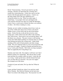David: "Good morning. I haven't got much to say this morning. I did have an interesting day yesterday but I usually have interesting days. Lynne once said to me that I look at life through upside down glasses. I tend to see the funny things and in the past capitalized on it. I found the humor in a bar. What was really tragic, I found funny. I see people with warts and laugh at the warts and the awkward ways they try to hide the blemishes. I know I have a weird sense of humor but then so do millions of others. All of this is leading to a story.

Natasha, our new mother in training, doesn't have warts on any of her visible parts and as far as I know, she doesn't imbibe or have a secret still in the far end of the kitchen pantry. On her first day on the job she served us some orange juice, whole wheat toast and coffee in the morning. Stay with me here. Noon meal we ate out and the dinner, well the dinner was a disaster. The poor woman is still learning. Lynne and I didn't think anything was unusual when we smelled meat burning just before the evening meal. I didn't think anything of the smell of burnt potatoes and other strange smells. We were surprised when we were served macaroni with a red sauce for supper. I looked at Natasha and had the nerve to say, 'Looks good, Natasha. Did it take you long to prepare?' That was apparently the wrong thing to say.

Natasha came back with, 'You might as well know now that I flunked cooking 101 with Pemby. She told me that I would learn and that you wouldn't suffer too much. Looks like she was wrong. I stunk up the house with the burned food and now you don't like my macaroni. Get your own supper.' She stomped out of the house.

I looked at Lynne and asked, 'Do I go after her? What do I say?'.

Lynne said that I should stay where I was and she would talk to Natasha. She followed Natasha out the back door. Then I was alone in the dining room. The macaroni was still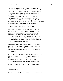warm and the sauce was in front of me. I poured the sauce over the macaroni and dug in. The macaroni wasn't too bad, maybe a bit undercooked and rubbery, but the sauce was, well, the sauce was bitter. I didn't know what Natasha used for spices but the combination, if there was one, didn't work. I thought, poor Natasha. Then I thought, no, poor me. The food tasted terrible. I didn't know if it was food. What to do, what to do? If Lynne caught up with Natasha, what would she do? Natasha was a beautiful woman or whatever she was underneath but the magic for the cooking lost something in the translation. I surely hoped she had passed the housekeeping course or else we were doomed.

Lynne came back in with Natasha by the hand. I thought, oh great the roles are reversed. Lynne is the mother and Natasha is the errant daughter. Natasha looked at my plate and the way I had stirred the stuff around and took it to the kitchen. When she came back, she was carrying a tray with sliced bread, butter and a big jar of peanut butter. That's what we had for dinner. Lynne managed to perk some coffee with no objections from Natasha.

Whoever said that this was paradise should have his or her head read. I know there is a lesson here but would someone please tell me what it is! Maybe all those people who say that we don't have to eat over here, should spend some time in our kitchen.

We have come to terms with the 'cook' in our house. We either cook dinner ourselves or we eat out. Lynne agreed to teach Natasha some basics of cooking. I just hope that Natasha is a quick study as far as cooking is concerned. So far the windows are clean and there aren't any dust bunnies.

So, as I told you, I don't have much to say. Bye for now."

(Later the same day)

Michael: "Hello. It's Mike from Essex. We have some friends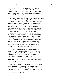over here. David wants to tell you a few things. Before I let David take over, I want to tell you who is here. From my left are Sonny, Karen, John, Carolyn, Lynne, David, Natasha, Ebony and Pemby. We are still sitting around the dining table. Here is David."

David: "Good evening Bob. There have been a few developments since I last talked to you. You may have heard Michael introduce Ebony. We came over to Michael's house for dinner. Natasha arranged it so she wouldn't have to cook, I assume. When we arrived at Essex, Pemby introduced us to our second 'mother' slash 'cook.' Pemby said that we needed a double team to care for us. Ebony is an accomplished cook as Pemby attests. She is well versed in the art of cooking but according to Natasha woefully undereducated in the dark arts of housekeeping. We will see, won't we? I sense a bit of rivalry but hope for a peaceful coexistence in Sussex. Pemby didn't admit she made a mistake. She informed us that every soul should be given a chance to learn and we should understand. Ebony is not her real name but a description of her hair color. With two beautiful women, sorry, make that three beautiful women in my house, could this be a test? I have a problem here. Lynne just told me that (A) it wasn't my house and (B) those two are my mothers and (C) get a grip."

Lynne: "David has let his imagination run away with him again. This is all very innocent and Ebony is at our house only to help. Natasha is First Mother and Ebony is a Mother in Training. We are not to be served but to help those two learn. I have complete faith in both of them."

David: "Oh, I hate being the heavy. I welcome both Mothers with open arms."

Michael: "We are now going toward the living room for some music. Karen and I are on a break from singing for a few weeks. I'm still busy all day and every day. I'm looking forward to another trip soon. Everyone here says bye for now.

Love and Peace to all, Mike"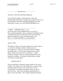--------------------- advertisement ---------------------

Advertise in The Stars Still Shine Magazine!

Our acclaimed monthly e-mail magazine is delivered internationally and beyond. Promote your products and services by advertising in The Stars Still Shine Magazine! For more information, contact us at: aura@TheStarsStillShine.com

-------------------------------------------------------------

4. EPICS -- UMBARTT (Epics 1 & 2) are the first and second Umbarttan epics in a series by Nancy (Drakensdaughter). Nancy, mentioned in Michael's series of Umbartt messages, tells the famous epics from her home planet of Umbartt. For more info and messages, visit: http://www.TheStarsStillShine.com/umbartt.html

-------------------------------------------------------------

April 22, 2004

The Epochs or Epics were stories handed down orally. There is a very historic tradition on Bartt of telling stories to the younger ones. There are core stories and new delights are added often. Um in the name Umbartt means circle or planet. Bartt is the actual name of our planet. A rough translation of Bartt is home as considered against the words amound or dwelling. So Umbartt would translate as planet of our home or home planet.

Umbarttan Epic #1

The most told Epic is about the voyage outside of our vision on Bartt. We could not view the distant ums or systems where the planet Earth is located. Our scientists have always used numbers to calculate the distances and to see ums at great far aways. They used calculations and harmonics to place your um and others. The scientists figured the distance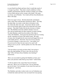to your Earth from Bartt and knew that it would take much of a voyage to go there. They had so much confidence in their numbers and harmonics that the scientist in charge was willing to leave Bartt and go on the voyage as the leader. His name was Zoon, son of Kimber. You would call him Zoon Kimberson. Here is the Epic.

Zoon was eager to leave. He had entered the calculations many, many times and had them checked by others. The ship, the giant ship, was ready to take them to the place in the sky where the other ums spun. Zoon knew that he would never see his home again except in his mind and in his mind pictures. That didn't bother him but the slowness of others did. The Dalabites from the northern climates were too slow but he needed them for their expertise in metal working. No other Barttans could form the insides of the ship as well as the Dalabites. Zoon paced up and down and was wearing out the vegetation in front of the launch stand. His mate of many years brought him his noon meal and begged him to sit in the shade and eat. "Eat Zoon. You are no use to anyone if you die of hunger. I want you to live. I am selfish, yes? If you do not live then I do not want to live and I will refuse to eat as you do." said his partner, his wife. Her name was Zenta.

"I do not refuse to eat and you know that! I am trying to hurry the ship building. If I leave who will care for my ship? Who will hurry those Dalabites into finishing?" asked Zoon.

"Have you succeeded in getting the Dalabites to hurry any? Does your presence make them go any faster?" asked Zenta.

"I will not admit to the council that I haven't hurried them any. But to you, my fairest one, I can say that they pay me no heed. Let us partake of your meal, the meal you brought me." said Zoon.

The Dalabites and other workers took over an Umbarttan year to finish the inside and Zoon wore out much foot wear pacing.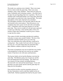The inside was a glorious site to behold. There were many levels or decks inside the giant ship. There were many chambers, many, many chambers. There had to be space for many Umbarttans and swimming creatures. Also there had to be space for growing things that were vegetation. The live-in chambers that would hold families were many plats (about the same length as an earth foot) wide, long and high. The inside atmospheres of the entire ship had to be calculated. The atmosphere machines were specially made for this trip and inserted in the correct places. Once this process was completed, they had a great visit for all in the surrounding

cities. Umbarttans came from great distances to see this great ship. They were in wonder of it all and some expressed a wish to go with Zoon. Zoon and the others of the crew told the wishers that Umbarttans would be given a chance to sign into the contest.

This contest of skills, knowledge and physical condition took place in many areas around Umbartt. The best of the contestants and their families got to go on the trip. They were told before the contest that they would not be coming back. They would, if all went well, be living on a far away um. If it took longer than one generation then their children's children would be living on the um.

The means of propulsion were not revealed but were similar to the propulsion we had and were used on our rumbles (trains). It had also to do with music and harmonics.

The big day finally arrived and the Barttans went into the giant ship. The Barttans going were of great joy and the ones left behind had mixed up feelings. The whole area was cleared of living creatures including Barttans. The farewells were said and the launch began. It was said that there was great smoke and fire and the giant ship was flung into the atmosphere.

Zoon and the travellers sent the remainders pictures of the trip. Generations went by until they landed on the um called Earth. Barttans populated the land by the great waters.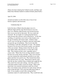(Nancy has been studying the Umbartt records, and Epics and thinks these Barttans landed in southern Ireland, planet Earth.)

April 29, 2004

Around our family we tell of this story of one of our famous explorers and musicians.

Umbarttan Epic #2

In the first days of Bartt when the plants were of a different shape and the water flowed down to our seas, there was a Barttan called Scrimm, just Scrimm because there was no one else by that name. He was a male and stood tall. He was leader of a small group that had no name because they all knew each of themselves. At the time of telling, of count there were twelve of the females over the age of maturity and sixteen males. Of those males twelve were over the age of maturity with four small males just past the age of incubation. They lived in the hills overlooking a wide lake with plenty of water. The climate, because it was far away from frozen country, was mild all of the year around. During wetness from the sky, they took shelter under wide leaf trees or in the sides of the hills. They feasted on fruit, roots, vegetables and of course water. Where they lived, no large animals roamed but fish were in the streams and lakes. They were not born wise but watched the small animals and birds to see what plants and fruit were good to eat. They learned from them. They had fire from very early. When power and fire came from the sky they watched where it landed and caught the fire. They used it for warm and cooking. Later they used it to cook bartt (earth) to make vessels for storage. What came much later were musical instruments made out of bartt. They were broken easily and had to be made strong with tree bones inside the bartt. First came the kettle drum made of bartt. It was usually covered with a strong leaf but sometimes made of a small animal skin. They would look only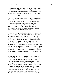for animals that had gone from living just past. They would take the skin, stretch it and make a sounding skin from it. It was discovered that some animal bones could be hollowed out and made into a pipe for music. So the first music was from the drum and pipe.

That is the beginning as was told down through the Barttans. There are two different parts of each epic. There is the shaded part that is the background and the other part that we find most interesting, is the part in the light or as you would say the main part of the story. Most, if not all epics, are told with the shaded part first. The story teller starts in the shaded part then when the listeners are settled down he or she tells the main thread.

Scrimm was very upset in his thinking when we peek into his life. He is walking back and forth in front of his dwelling. He is putting his strong hand to his head in a shaded way to look into the trees and hills. The Barttan he is looking for is his mate. She has been long away from their shelter. She went to gather moss and soft leaves to further their sleeping. She should have been with Scrimm that daylight time but she has not shown her face. He does not want to go further away because they have a small one between them. The small one is sleeping in their dwelling but will soon be hungry for his mother's food. Scrimm has fed their small one. He feeds him with honey water and mashed root but soon little one will need nourishment from his mother.

Scrimm waits until the water in close clouds rises and thinks that he should go to take his little to a nurse next dwelling to theirs. The nurse is his sister and has a little of her own. Littles are not named until the parents know if they are going to live. Scrimm's little is not of that age yet but he is still very much of a concern for the loving Scrimm. Scrimm picks up his little. He lifts him from his nest and carries him over to the next dwelling about forty paces. There he images his concern to his sister. She is his sister from their first father and are closer than other relatives. His sister who has the name of Saaara understands that Scrimm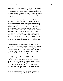is of concern but she does not feel the concern. She images to Scrimm that he is to leave the little with her and go into the day and use his eyes and imaging to find his mate Baane. Scrimm does not image anger but nods his head to say that he will do a search. He leaves his little with Saaara and goes to the hills.

Scrimm stops and images. He knows that he should have unclouded his images. He sees dark streeks in the distance of his imaging and knows that he must stop and clear the soft edges. He must open his thinking and concentrate. He sits on the ground, on a rock, and closes his eyes. He tries to leave his mind open for images of Baane but he leaves room for other unwelcome pictures. He slows his breathing down and thinks of Baane and her beautiful face. He is now calm and her new face is there. She is showing him where she is. He is now seeing her surroundings through her eyes and her imaging. He knows where she is. She is not far from the dwelling in a mountain valley. She has fallen into a space between two large rocks while gathering moss.

Scrimm opens his eyes then goes back to their dwelling. There he gathers some clothing and some sharp instruments. He leaves the dwelling and hurries to the valley where he imaged his mate. He sends her an image of himself running to her spot. She smiles with her beautiful face and tells him to speed. He runs for some long time and he finds her.

She is still in his land when he arrives. Her legs are wedged in tightly where she has fallen and Scrimm notices that the legs of his beautiful Baane are turning a darkness. He gets in closer to feel her heart but she images him away. He reaches to hold her hand. They touch then Baane, the mother of his little, his beautiful mate, crosses to the other land. She is no more except her memories of her life with Scrimm and the little.

A saddened Scrimm closes her beautiful eyes and blesses her memory with an image of the Deity. He tries to move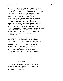her once live body but she is wedged in too tight. He leaves her and trudges back to the dwelling of his sister and her mate. Long before he gets there, he images the news. When he arrives, there is the whole clan gathered. The males gather wood for a fire and the females prepare the feasting food. For when one of the tribe, the clan, crosses there is a time of rejoicing and sadness. The one who has crossed is imaged on their way to the next life. The crossing usually takes three suns and three darknesses. Once done the crossed one can then image thoughts back to Bartt and the live ones can rest easy. The once live Barttan is burned and any ashes are scattered around in a symbol way. The men carried the wood to where the empty form of Baane lies wedged in the rocks. They build a fire and flames consume her former self. Scrimm, in spite of all he knows, cannot bear to take part in the burning ceremony. The males understand and do the necessary things.

Scrimm goes to their dwelling and while his sister looks after the little, he loses himself in music. He gathers a few close males and they play and play music for three suns, three days. Scrimm has mastered the bone flute. He plays one hauntingly beautiful piece of music after another. He puts everything into it because he feels that is how he will image his mate again. After three suns and three darknesses he sees her beautiful face in his imaging. She has crossed successfully and can now talk to him and their little.

--------------------- advertisement ---------------------

Read Michael's surprising journey through the afterlife in the book, "The Stars Still Shine: An Afterlife Journey." For more information, visit: http://www.TheStarsStillShine.com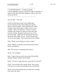------------------------------------------------------------- 5. CONVERSATIONS -- LYNNE & DAVID is the seventeenth in a series of articles by John F. Kennedy, Jr., special to The Stars Still Shine Magazine. John Jr. interviews Lynne and David.

-------------------------------------------------------------

July 24, 2003 9:56 A.M.

I'd like to think that I'm back in the saddle again. I'm not referring to horse back riding but to getting back to work on writing. I don't pretend to be a writer of fiction, short stories, plays, scripts, novels or even novellas. I like to do interviews. There is a certain comfort in the structure of interviews that I don't find in fiction writing. Recently I interviewed two of my favorite people. I didn't just say that because they have the power of the editor over me. I said it because they are my favorite people. David and Lynne are the subjects.

John: "Thank you for talking to me this evening."

David: "Maybe you should wait until after the interview before you thank us."

John: "Do you know something I don't know?"

David: "Lots of things!"

John: "I guess I got up on the wrong side of the bed this morning. Maybe I should start this again."

David: "You have a right side and a wrong side of your bed?"

Lynne: "Give the poor man a break, David. He is trying to be nice to you and you're putting his feet to the flames."

David: "Ever get the feeling that your interview is getting away from you, John?"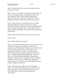John: "Not until today. How are you two coping with your existence over here?"

David: "Nice move! I think I can speak for Lynne when I say that we are managing nicely. I'm keeping very busy with the e-magazine, plays, writers and many other things. The key, as far as I'm concerned, is to keep busy. Lead a productive life and you don't have time for navel gazing."

Lynne: "I have become so immersed in the lives of other people that I don't have time to feel sorry for myself. I have my down times, the times when I'm sad, but thankfully they are far between and few now. I'm grateful for David and my friends, the children and my jobs, and not necessarily in that order."

David: "I'll assume that I'm on the top of your list, Lynne!"

Lynne: "O.K.!"

John: "What motivates you, David?"

David: "Good question! What motivates me? Back when I was writing for a living, I used to think it was for the fat paycheck I got. That paycheck would set me free. That's what I said to myself then. Of course, I knew better. It was the adrenalin rush before air time. It was the push for perfection, the perfect script and satisfaction of a job well done. I couldn't imagine doing anything else. Now I'm more or less locked into the same thing. I'm producing, directing, writing and have expanded on things I was doing on Earth. I must need it or I wouldn't have rushed back into the same set. I could have sat back and played my harp but that wouldn't have been me."

Lynne: "You left out your ability to work with people! David, if you don't have people around, you go into a blue funk. John, there is only so much I can do if he's in one of his depressions. He starts to doubt himself and turns inward."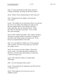John: "I've noticed that David really shines when he's working with people. He brings out the best in others."

David: "Please! You're embarrassing me. Don't stop now!"

John: "Changing the focus slightly; what motivates you, Lynne?"

Lynne: "The children are my motivation. David, you motivate me too! Let me explain. The children are really so pure that I get inspired when I work and play with them. If they don't like what I do, then they tell me. If they like what I do, then they let me know. I love it when they smile and laugh."

David: "I like working with adults. I like complex situations, especially in comedy, and there are plenty of examples in the adult world without going to the junior level. To me, kids are too unpredictable to work with."

John: "I've seen Michael's children, his 3C kids, playing with you David. You seem to get along very well with the younger crowd."

David: "It's not that I don't like children. Please don't get me wrong. I can only take them in small doses or small lots. I can take them individually not collectively is what I'm trying to say."

Lynne: "He would have made an excellent father. Still might!"

John: "Are you expecting a baby, Lynne?"

Lynne: "Not possible but we might take some D.R. kids for a weekend or two."

David: "That might give me an excuse to act in a childlike manner."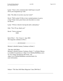Lynne: "I have a few comments that I shall keep to myself. I'll let your imagination go wild."

John: "Do either of you have any last words?"

David: "Well warden! I'd like to have mashed potatoes in gravy, a large T-bone steak, green beans and chocolate ice cream for dessert."

Lynne: "I'll have what he's having but add a salad please."

John: "Now I'll say, thank you!"

David: "You're welcome." END

End of Part 1 - Vol. 2 Issue 6 - June 2004 The magazine continues in Part 2.

--------------------- advertisement ---------------------

Michael's Afterlife Journey Continues in Book 2.

"The Stars Still Shine: Michael's Afterlife Journey Continues, Book 2" by Robert Murray is available for purchase at <http://www.TheStarsStillShine.com>. To view images designed for this book, visit <http://www.TheStarsStillShine.com/artist.html> for more information.

- - - - - - - - - - - - - - - - - - - - - - - - - - - - - - - - -

Subject: \*The Stars Still Shine Magazine\* June 2004-Part 2

\_\_\_\_\_\_\_\_\_\_\_\_\_\_\_\_\_\_\_\_\_\_\_\_\_\_\_\_\_\_\_\_\_\_\_\_\_\_\_\_\_\_\_\_\_\_\_\_\_\_\_\_\_\_\_\_\_\_\_\_\_\_\_\_\_\_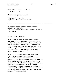\_\_\_\_\_\_\_\_\_\_\_\_\_\_\_\_\_\_\_\_\_\_\_\_\_\_\_\_\_\_\_\_\_\_\_\_\_\_\_\_\_\_\_\_\_\_\_\_\_\_\_\_\_\_\_\_\_\_\_\_\_\_\_\_\_\_

### THE STARS STILL SHINE M A G A Z I N E

News and Writings from the Afterlife

Vol. 2 Issue 6 June 2004 http://www.TheStarsStillShine.com/zine.html

------------------------------------------------------------------

6. WRITING -- THE LAW "The Law" is a story by Mark Twain. It is fiction channeled by Robert Murray.

------------------------------------------------------------------

January 12, 2004 11:13 P.M.

He wasn't a very tall man. He stood about five feet nine and one half inches in his stocking feet. No one could get near him in his stocking feet because of the smell. The smell from his stockings was enough to knock a grown man over. The odor came from his socks because he almost never took off his cowboy boots. There were rumors that he even slept with his boots on but nobody could get near him at night to prove or disprove the stories.

He was our elected sheriff. Folks around our parts didn't want a real energetic sheriff so we elected Wild Bill. He fit the bill so to speak. He wasn't married because no woman would give him the time of day or even the time of night. We do give him credit for stomping out the illegal smoking behind the pool hall. Wild Bill was taking one of his infrequent patrols and just happened upon the miscreant, young Wally Thornbury, puffing away on a homemade cigarette. Young Wally told me about the conversation when I interviewed him for the Plainfield Gazette that very same day. According to my notes Wild Bill spoke first.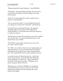"Whatca doing there Young Thornbury?" asked Wild Bill.

"Oh nothing." said young Wally Thornbury. He told me that he had heard our illustrious sheriff stomping and cursing down the alley.

"Then why is there all that there smoke coming from yer britches?" asked Wild Bill.

"Oh, you mean that smoke? I was jest holding this here bit of a cigarette for a friend. He's in the Hall." said Thornbury.

Our sheriff wasn't easily fooled that day. He suspected something right away and asked, "Who might that be Young Thornbury?" The sheriff often mixed up his adjectives to confuse his listeners.

"He didn't give no name. He jest made me swear that I wouldn't leave the alley here." he answered hoping that story would satisfy the law man. It didn't.

"Well, Wally, I got jest half a mind to put you in my cell for a spell." said our sheriff.

Now Wally was no slouch when it came to figuring things out especially when his very own freedom hung in the balance. Unfortunately, he just didn't know when to quit baiting the bear. "You's right sheriff. You have half a mind like you said."

I was able to interview Wally from the cell. I didn't find out the charge because our sheriff didn't think things like charges belonged in a small town. Charges and all that law stuff were for the big city folks. Thornbury was in jail for sassing an officer of the law.

We had privacy, not because Wild Bill was considerate. The sheriff found it necessary to make sure his favorite kitchen chair, leaning on the front outside wall, wasn't lonely for his behind.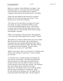Much to my surprise, Young Thornbury was happy. "I sure fooled him, didn't I? I was really in the pool hall making some real money when I decided to have a cigarette. I stepped out back and the old sheriff found me." said Wally.

"I hope you aren't telling me this because I'm a reporter? Because if you are then it's going to get written." I said trying to get to a story that I could print.

"Oh! I guess not. I'm only fifteen. I'm going to be sixteen next month. So, I guess I shouldn't be telling you that I was in the Pool Hall hustling for money. I draw them in with my innocent looks then beat their pants off. I don't win all the time so I won't look like I know what I'm doing." said Thornbury with pride.

"Wally, you sound like an educated person. What happened to your 'street' talk? Who taught you how to hustle?" I asked.

"My mother was a teacher in Boston before she met my father. She's the smart one in the family. She insisted that my schooling be up to her standards although she didn't make a smart move when she married my father. My father, George, is a 'remittance man' from England. You know what a 'remittance man' is don't you?" asked Wally.

"Wally, I must confess, that I've never heard of a 'remittance man.' This has some makings of a good story." I said as I opened my note book.

"A 'remittance man' is usually an upper class English man who can't stay out of trouble. The embarrassed family get tired of paying for his sinful doings and send him to the colonies or in the case of my father to America. He had a cousin in Boston so that's where they sent him. The remittance part comes with the money remitted to the exiled naire-do-well. He still gets money every month. My mother grabs the money first thing or we wouldn't eat. Father has some talent for the sporting events. He taught me how to play pool and the other table games. He also taught me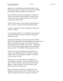pugilism so I could defend myself against bullies. I look like a skinny kid but I can take care of myself." said Wally while pacing within the confines of the small cell.

I gave Wally the unnecessary command to, "Wait here!", while I went outside to talk to Wild Bill. "Sheriff, what would it take to get young Thornbury out of your jail?" I asked of the seated sheriff.

"Wall, he got ta make a warm apology and he gotta pay a fine of two bits." said the still seated and tilted sheriff.

"I think I can get him to make an apology but what is the fine for?" I asked.

"A warm apology. The fine is fer spitting on the sidewalk." muttered the sheriff as he spat a dark brown liquid into the dust at my feet.

I jumped back quickly to stay out of range of the sheriff's tobacco juice and nodded my understanding from the doorway to the jail. I don't know if he saw my nod but I was inside relaying the message to Wally in a few steps. "Wally, good news! You can get out of here right now if you apologize and pay the fine." I told Wally while looking into his face.

"I heard. I won't pay the old bugger. He doesn't have a witness to me spitting anywhere. I didn't spit anywhere. Besides, there isn't a sidewalk in that alley." said Wally as he sat on the cell floor.

"Don't you see, it's a token fine. It has nothing to do with spitting or sidewalks. It has everything to do with pride. Pay the twenty-five cents and give him his warm apology. Is that so difficult?" said I realizing too late that I was involved with my story.

Wally got up from the cell floor and walked the short distance to the bars where I stood. "He'll let me go with another warning before the next meal time. He doesn't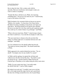like to share his food. He's a rotten cook with his specialty, Mexican strawberries, bad enough to make you want to confess to anything."

"Sounds like this is old hat to you, Wally. Am I missing something here? You two go way back do you?" I asked trying to get to the bottom of the story.

Wally hesitated a few moments before giving me an answer. "Maybe a few months. I've been here a few times before. He thinks I'm doing something wrong but he can't figure out what that is. He keeps picking at me until he gets satisfied. He leaves me alone for a few days until he gets suspicious again. You could say it's a kind of dance we go through." said Wally.

"When is the next meal time, Wally?" I asked trying to figure out when I could leave. I was into this too deeply to walk away.

"The next meal time is whenever the old coot feels like eating. It could be right now or sometime between now and midnight." said Wally.

As if on a theatrical cue, the sheriff walked into the jail. "Yea larnd yer lesson young fella?" The sheriff aimed that at Wally.

Wally appeared to be contrite behind the iron bars. "Yes sir, sheriff. I'm deeply sorry for any trouble I've caused."

As Wally said his apology, he opened the cell door and walked across the floor toward the door. "Say hello to your ma and pa for me." said the sheriff as Wally left the jail. I hurried up to Thornbury as he walked along the dusty main street.

"Wally, I've got a great story here. I can really make the sheriff look bad." I said as Wally stopped.

He looked at me and said. "I wouldn't want you to do that. He's a bit rough around the edges but he's got a good heart. He does lots of things around the town, lots of good things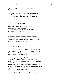that nobody knows about except the people he helps. Now if you'll excuse me, mister, I have some pool to play."

I never did write up that story until now. I hustled over to Ma Baker's Boarding house to see if I could interview some traveling salesmen. Could be my story for tomorrow?

End

------------------------ advertisement -----------------------

Featuring new music, books, stories, messages and much more by Robert Murray. Visit The Stars Still Shine Web site for the latest. http://www.TheStarsStillShine.com

------------------------------------------------------------------

7. WRITING -- ON THINKING "On thinking" is a short story by Ernest Hemingway. It is fiction channeled by Robert Murray.

------------------------------------------------------------------

January 13, 2004 10:42 P.M.

"1 2 3, 1 2 3, begin the dance. Begin the dance. Move your feet in time to the music. No, no, no! In time to the music. You are a half beat behind. Pick it up. Relax. That is an order. Relax. You are too stiff!" scolded the teacher.

Why, oh why, did I let myself be talked into this torture, this misery that I have to pay for? I was standing on a hardwood dance floor in a dance studio in Paris. I had been shamed into these lessons. Now, anyone who knows me, even ever so slightly, knows that it takes a lot to shame me into anything. Of course it was a woman who made me take these stupid lessons. This whole rotten shaming thing started a few days ago at one of Victor's parties.

I was being the life of the party as usual. I was propped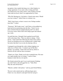up against a faux mantle that hung over a fake fireplace in a huge apartment. It was early in the evening and I had just started one of my many stories, some of them even had some truth involved, when I was approached by Claire.

"Why Mr. Hemingway, I do believe, I heard some music. Would you care to dance?" asked Claire in a demure way.

"Well, I don't know as there's room to trot. Perhaps another time then?" I asked.

"Nonsense! We'll make room." said Claire as she grabbed my hand and led me protesting onto the floor. Victor's seven piece orchestra had just stopped playing and I was about to reverse course when Claire took charge again and ordered up a waltz.

Up until that time, I thought I had acquitted myself fairly well on the dance floor. That was about to change. Claire led me. I had a hard time following her lead I must confess. Sweat was breaking out on my forehead and I couldn't help but notice that there was no one else dancing with us.

I managed to get through the waltz without tripping over either my or Claire's feet. I wanted to get off the floor quickly, very quickly. Claire took root and my efforts to lead her off met with her fierce resistance.

"Thank you, Claire. Thank you for the wonderful time. We must do it again another day or evening." I said to Claire, hoping to make that my exit speech.

My friends noticed the spot I was in and instead of helping me, took Claire's side and egged her on. "Yeah, Hem. Why the rush off the floor?"

"Maestro, another waltz please." said my good friend Morley.

The next waltz started and my suffering began anew. Claire was very attractive and apart from her trying to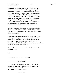lead me all over the floor, she wasn't half bad as the Brit's used to say. I, or should I have said we, got through that one when it happened. I was leading Claire off the dance floor when I slipped on a spilled drink. The floor came up to meet me as I found myself heading for the windows. Thank God I had the presence of mind to let go of Claire's hand. As my feet went out from under me I grabbed the heavy curtains and hung on for dear life, my dear life. The curtain rods were the first casualty then came the fall, my fall, on the floor. The curtains followed me down heavily accented with the metal curtain rod for a finish.

After they dug me out from under the damask curtains they checked my body over for breaks. Unfortunately, it was a male doctor who did the checking. I was pronounced fit and able to dance again.

Johnny questioned the doctor's verdict. He asked for silence and said, "Hem might have been pronounced fit, but able to dance again? I don't think so. I'm taking up a collection right here. I'm sure all of you want to contribute to the Dance Lesson Fund for Ernest Hemingway." Someone produced a fedora and the hat was passed around.

That, my friends, was how I ended on the dance floor of this dance studio.

**End** 

End of Part 2 - Vol. 2 Issue 6 - June 2004

--------------------- advertisement ---------------------

Read Michael's surprising journey through the afterlife in the book, "The Stars Still Shine: An Afterlife Journey." For more information, visit: http://www.TheStarsStillShine.com

--------------------- advertisement ---------------------